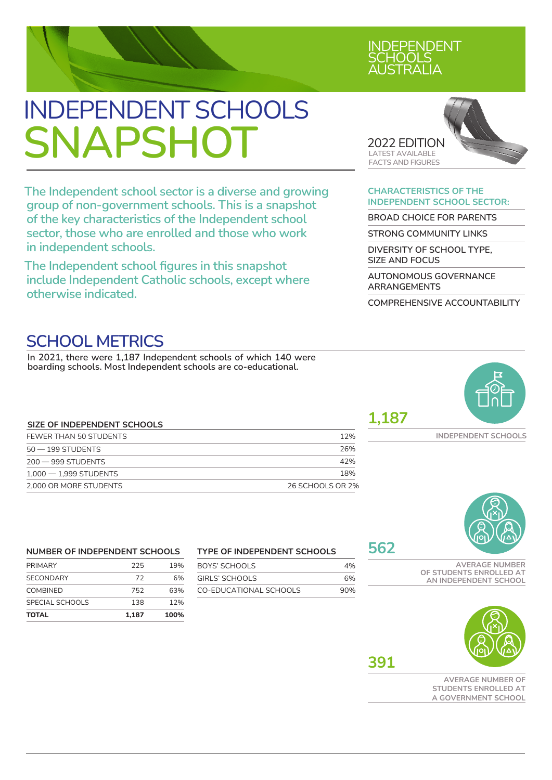# INDEPENDENT SCHOOLS **SNAPSHOT** <sup>2022</sup> EDITION

**The Independent school sector is a diverse and growing group of non-government schools. This is a snapshot of the key characteristics of the Independent school sector, those who are enrolled and those who work in independent schools.**

**The Independent school figures in this snapshot include Independent Catholic schools, except where otherwise indicated.**

# RAI IA

INDEPENDENT OLS **S** 



#### **CHARACTERISTICS OF THE INDEPENDENT SCHOOL SECTOR:**

**BROAD CHOICE FOR PARENTS**

**STRONG COMMUNITY LINKS**

**DIVERSITY OF SCHOOL TYPE, SIZE AND FOCUS**

**AUTONOMOUS GOVERNANCE ARRANGEMENTS**

**COMPREHENSIVE ACCOUNTABILITY**

# **SCHOOL METRICS**

**In 2021, there were 1,187 Independent schools of which 140 were boarding schools. Most Independent schools are co-educational.**

### **SIZE OF INDEPENDENT SCHOOLS** FEWER THAN 50 STUDENTS THE RESIDENCE OF A SERIES AND THE RESIDENCE OF A SERIES OF A SERIES OF A SERIES OF A SERIES OF A SERIES OF A SERIES OF A SERIES OF A SERIES OF A SERIES OF A SERIES OF A SERIES OF A SERIES OF A SERIES

| $50 - 199$ STUDENTS      | 26%              |
|--------------------------|------------------|
| $200 - 999$ STUDENTS     | 42%              |
| $1.000 - 1.999$ STUDENTS | 18%              |
| 2.000 OR MORE STUDENTS   | 26 SCHOOLS OR 2% |

**1,187**





#### **NUMBER OF INDEPENDENT SCHOOLS**

| <b>TOTAL</b>     | 1.187 | 100% |
|------------------|-------|------|
| SPECIAL SCHOOLS  | 138   | 12%  |
| <b>COMBINED</b>  | 752   | 63%  |
| <b>SECONDARY</b> | 72    | 6%   |
| <b>PRIMARY</b>   | 225   | 19%  |
|                  |       |      |

#### **TYPE OF INDEPENDENT SCHOOLS**

| BOYS' SCHOOLS          | 4%  |
|------------------------|-----|
| GIRI S' SCHOOLS        | 6%  |
| CO-EDUCATIONAL SCHOOLS | 90% |

# **562**

**AVERAGE NUMBER OF STUDENTS ENROLLED AT AN INDEPENDENT SCHOOL**



**AVERAGE NUMBER OF STUDENTS ENROLLED AT A GOVERNMENT SCHOOL**



**391**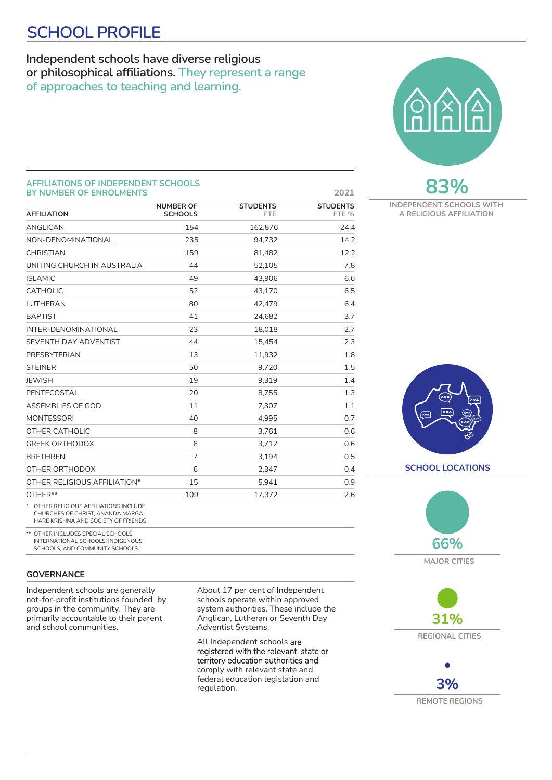# **SCHOOL PROFILE**

### **Independent schools have diverse religious or philosophical affiliations. They represent a range of approaches to teaching and learning.**



#### **AFFILIATIONS OF INDEPENDENT SCHOOLS BY NUMBER OF ENROLMENTS 2021**

| <b>DI NOMBER OF ENROLMENTS</b>                                             |                                    |                               | ∠∪∠⊥                     |
|----------------------------------------------------------------------------|------------------------------------|-------------------------------|--------------------------|
| <b>AFFILIATION</b>                                                         | <b>NUMBER OF</b><br><b>SCHOOLS</b> | <b>STUDENTS</b><br><b>FTE</b> | <b>STUDENTS</b><br>FTE % |
| <b>ANGLICAN</b>                                                            | 154                                | 162,876                       | 24.4                     |
| NON-DENOMINATIONAL                                                         | 235                                | 94.732                        | 14.2                     |
| <b>CHRISTIAN</b>                                                           | 159                                | 81,482                        | 12.2                     |
| UNITING CHURCH IN AUSTRALIA                                                | 44                                 | 52,105                        | 7.8                      |
| <b>ISLAMIC</b>                                                             | 49                                 | 43,906                        | 6.6                      |
| <b>CATHOLIC</b>                                                            | 52                                 | 43,170                        | 6.5                      |
| <b>LUTHERAN</b>                                                            | 80                                 | 42,479                        | 6.4                      |
| <b>BAPTIST</b>                                                             | 41                                 | 24,682                        | 3.7                      |
| INTER-DENOMINATIONAL                                                       | 23                                 | 18,018                        | 2.7                      |
| SEVENTH DAY ADVENTIST                                                      | 44                                 | 15,454                        | 2.3                      |
| PRESBYTERIAN                                                               | 13                                 | 11,932                        | 1.8                      |
| <b>STEINER</b>                                                             | 50                                 | 9,720                         | 1.5                      |
| <b>JEWISH</b>                                                              | 19                                 | 9,319                         | 1.4                      |
| PENTECOSTAL                                                                | 20                                 | 8,755                         | 1.3                      |
| ASSEMBLIES OF GOD                                                          | 11                                 | 7.307                         | 1.1                      |
| <b>MONTESSORI</b>                                                          | 40                                 | 4,995                         | 0.7                      |
| OTHER CATHOLIC                                                             | 8                                  | 3.761                         | 0.6                      |
| <b>GREEK ORTHODOX</b>                                                      | 8                                  | 3.712                         | 0.6                      |
| <b>BRETHREN</b>                                                            | $\overline{7}$                     | 3,194                         | 0.5                      |
| OTHER ORTHODOX                                                             | 6                                  | 2,347                         | 0.4                      |
| OTHER RELIGIOUS AFFILIATION*                                               | 15                                 | 5,941                         | 0.9                      |
| OTHER**                                                                    | 109                                | 17,372                        | 2.6                      |
| * OTHER RELIGIOUS AFFILIATIONS INCLUDE<br>CHLIRCHES OF CHRIST ANANDA MARGA |                                    |                               |                          |

CHURCHES OF CHRIST, ANANDA MARGA, HARE KRISHNA AND SOCIETY OF FRIENDS

\*\* OTHER INCLUDES SPECIAL SCHOOLS, INTERNATIONAL SCHOOLS, INDIGENOUS SCHOOLS, AND COMMUNITY SCHOOLS.

#### **GOVERNANCE**

Independent schools are generally not-for-profit institutions founded by groups in the community. They are primarily accountable to their parent and school communities.

About 17 per cent of Independent schools operate within approved system authorities. These include the Anglican, Lutheran or Seventh Day Adventist Systems.

All Independent schools are registered with the relevant state or territory education authorities and comply with relevant state and federal education legislation and regulation.



**INDEPENDENT SCHOOLS WITH A RELIGIOUS AFFILIATION**





**MAJOR CITIES**



**3% REMOTE REGIONS**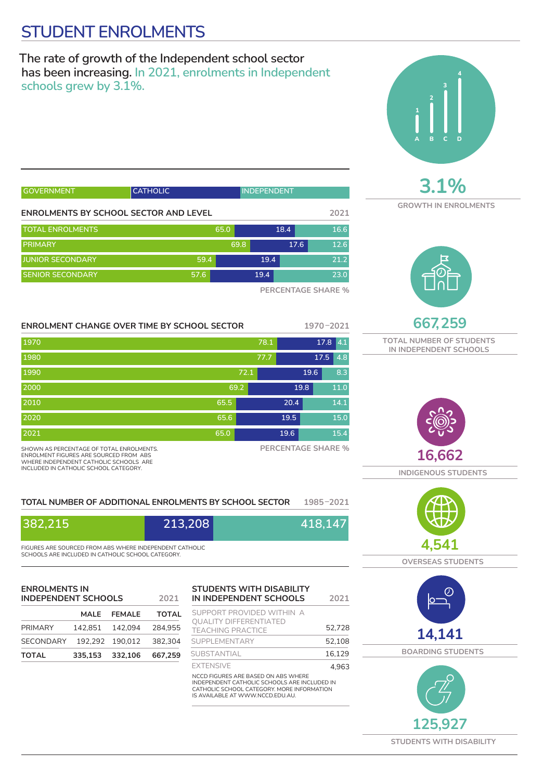# **STUDENT ENROLMENTS**

**The rate of growth of the Independent school sector has been increasing. In 2021, enrolments in Independent schools grew by 3.1%.** 

| <b>GOVERNMENT</b>                     | <b>CATHOLIC</b> | <b>INDEPENDENT</b> |      |                        |
|---------------------------------------|-----------------|--------------------|------|------------------------|
| ENROLMENTS BY SCHOOL SECTOR AND LEVEL |                 |                    |      | 2021                   |
| <b>TOTAL ENROLMENTS</b>               |                 | 65.0               | 18.4 | 16.6                   |
| <b>PRIMARY</b>                        |                 | 69.8               | 17.6 | 12.6                   |
| <b>JUNIOR SECONDARY</b>               | 59.4            | 19.4               |      | 21.2                   |
| <b>SENIOR SECONDARY</b>               | 57.6            | 19.4               |      | 23.0                   |
|                                       |                 |                    |      | DED OF HEA OF OUR DEAL |

**PERCENTAGE SHARE %**

#### **ENROLMENT CHANGE OVER TIME BY SCHOOL SECTOR 1970–2021**

| 1970                                                                                                                                                                  |         |      | 78.1                      | 17.8      | 4.1  |
|-----------------------------------------------------------------------------------------------------------------------------------------------------------------------|---------|------|---------------------------|-----------|------|
| 1980                                                                                                                                                                  |         |      | 77.7                      | 17.5      | 4.8  |
| 1990                                                                                                                                                                  |         | 72.1 |                           | 19.6      | 8.3  |
| 2000                                                                                                                                                                  |         | 69.2 |                           | 19.8      | 11.0 |
| 2010                                                                                                                                                                  |         | 65.5 | 20.4                      |           | 14.1 |
| 2020                                                                                                                                                                  |         | 65.6 | 19.5                      |           | 15.0 |
| 2021                                                                                                                                                                  |         | 65.0 | 19.6                      |           | 15.4 |
| SHOWN AS PERCENTAGE OF TOTAL ENROLMENTS.<br>ENROLMENT FIGURES ARE SOURCED FROM ABS<br>WHERE INDEPENDENT CATHOLIC SCHOOLS ARE<br>INCLUDED IN CATHOLIC SCHOOL CATEGORY. |         |      | <b>PERCENTAGE SHARE %</b> |           |      |
| TOTAL NUMBER OF ADDITIONAL ENROLMENTS BY SCHOOL SECTOR                                                                                                                |         |      |                           | 1985-2021 |      |
| 382,215                                                                                                                                                               | 213,208 |      |                           | 418,147   |      |

#### **TOTAL NUMBER OF ADDITIONAL ENROLMENTS BY SCHOOL SECTOR 1985–2021**

| 382,215                                                 | 213,208 | 418,147 |
|---------------------------------------------------------|---------|---------|
| FIGURES ARE SOURCED EROM ARS WHERE INDEPENDENT CATHOLIC |         |         |

FIGURES ARE SOURCED FROM ABS WHERE INDEPENDENT CATHOLIC SCHOOLS ARE INCLUDED IN CATHOLIC SCHOOL CATEGORY.

#### **ENROLMENTS IN INDEPENDENT SCHOOLS 2021**

|                                   | MALE FEMALE     | <b>TOTAL</b> |
|-----------------------------------|-----------------|--------------|
| PRIMARY                           | 142.851 142.094 | 284.955      |
| SECONDARY 192.292 190.012 382.304 |                 |              |
| <b>TOTAL</b>                      | 335.153 332.106 | 667.259      |

#### **STUDENTS WITH DISABILITY IN INDEPENDENT SCHOOLS 2021**

| SUPPORT PROVIDED WITHIN A                                                                                                                                             |        |
|-----------------------------------------------------------------------------------------------------------------------------------------------------------------------|--------|
| <b>QUALITY DIFFERENTIATED</b><br><b>TEACHING PRACTICE</b>                                                                                                             | 52,728 |
| SUPPI EMENTARY                                                                                                                                                        | 52.108 |
| SUBSTANTIAL                                                                                                                                                           | 16.129 |
| <b>EXTENSIVE</b>                                                                                                                                                      | 4.963  |
| NCCD FIGURES ARE BASED ON ABS WHERE<br>INDEPENDENT CATHOLIC SCHOOLS ARE INCLUDED IN<br>CATHOLIC SCHOOL CATEGORY. MORE INFORMATION<br>IS AVAILABLE AT WWW.NCCD.FDU.AU. |        |



**3.1%**

**GROWTH IN ENROLMENTS**



**667,259 TOTAL NUMBER OF STUDENTS IN INDEPENDENT SCHOOLS**



**INDIGENOUS STUDENTS**



**OVERSEAS STUDENTS**







**STUDENTS WITH DISABILITY**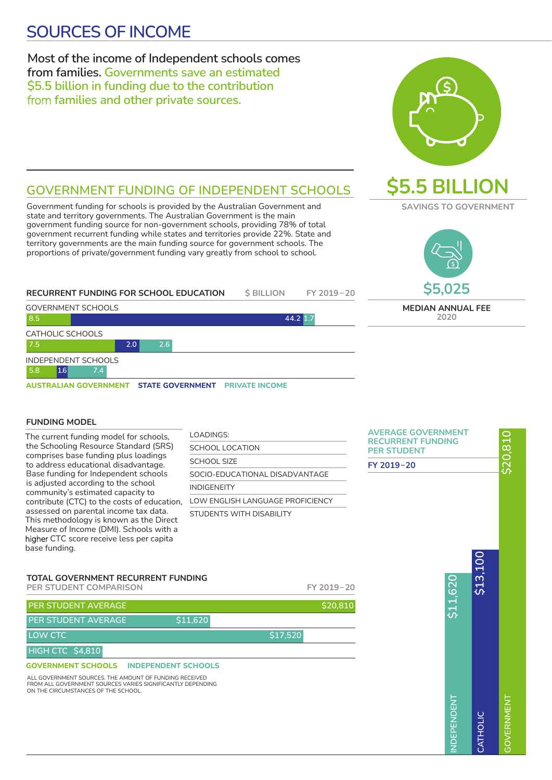# **SOURCES OF INCOME SOURCES OF INCOME**

### **Most of the income of Independent schools comes from families. Governments save an estimated \$5.5 billion in funding due to the contribution**  from **families and other private sources.**



**\$5.5 BILLION**

**SAVINGS TO GOVERNMENT**

### **GOVERNMENT FUNDING OF INDEPENDENT SCHOOLS**

Government funding for schools is provided by the Australian Government and state and territory governments. The Australian Government is the main government funding source for non-government schools, providing 78% of total government recurrent funding while states and territories provide 22%. State and territory governments are the main funding source for governme proportions of private/government funding vary greatly from school

| territory governments are the main funding source for government schools. The<br>proportions of private/government funding vary greatly from school to school. |                   |            | <b>\$5,025</b>           |
|----------------------------------------------------------------------------------------------------------------------------------------------------------------|-------------------|------------|--------------------------|
| RECURRENT FUNDING FOR SCHOOL EDUCATION                                                                                                                         | <b>\$ BILLION</b> | FY 2019-20 |                          |
| <b>GOVERNMENT SCHOOLS</b>                                                                                                                                      |                   |            | <b>MEDIAN ANNUAL FEE</b> |
| 8.5                                                                                                                                                            |                   | 44.2 1.7   | 2020                     |
| CATHOLIC SCHOOLS                                                                                                                                               |                   |            |                          |

#### GOVERNMENT SCHOOLS CATHOLIC SCHOOLS INDEPENDENT SCHOOLS **8.5 7.5 5.8 2.0 1.6 7.4 2.6**

**AUSTRALIAN GOVERNMENT STATE GOVERNMENT PRIVATE INCOME** 

#### **FUNDING MODEL**

The current funding model for schools, the Schooling Resource Standard (SRS) comprises base funding plus loadings to address educational disadvantage. Base funding for Independent schools is adjusted according to the school community's estimated capacity to contribute (CTC) to the costs of education, assessed on parental income tax data. This methodology is known as the Direct Measure of Income (DMI). Schools with a higher CTC score receive less per capita base funding.

| LOADINGS:                        |
|----------------------------------|
| SCHOOL LOCATION                  |
| SCHOOL SIZE                      |
| SOCIO-FDUCATIONAL DISADVANTAGE   |
| <b>INDIGENEITY</b>               |
| LOW ENGLISH LANGUAGE PROFICIENCY |
| STUDENTS WITH DISARII ITY        |

| <b>AVERAGE GOVERNMENT</b><br><b>RECURRENT FUNDING</b><br><b>PER STUDENT</b> |                    |          | \$20,810          |
|-----------------------------------------------------------------------------|--------------------|----------|-------------------|
| FY 2019-20                                                                  |                    |          |                   |
|                                                                             | \$11,620           | \$13,100 |                   |
|                                                                             | <b>INDEPENDENT</b> | CATHOLIC | <b>GOVERNMENT</b> |

#### **TOTAL GOVERNMENT RECURRENT FUNDING**

**PER STUDENT COMPARISON FY 2019 – 20 GOVERNMENT SCHOOLS INDEPENDENT SCHOOLS PER STUDENT AVERAGE AND LOCAL CONSUMING A SECOND STATE OF S20,810 LOW CTC** \$17,520 **PER STUDENT AVERAGE** \$11,620 **HIGH CTC \$4,810**

ALL GOVERNMENT SOURCES. THE AMOUNT OF FUNDING RECEIVED FROM ALL GOVERNMENT SOURCES VARIES SIGNIFICANTLY DEPENDING ON THE CIRCUMSTANCES OF THE SCHOOL.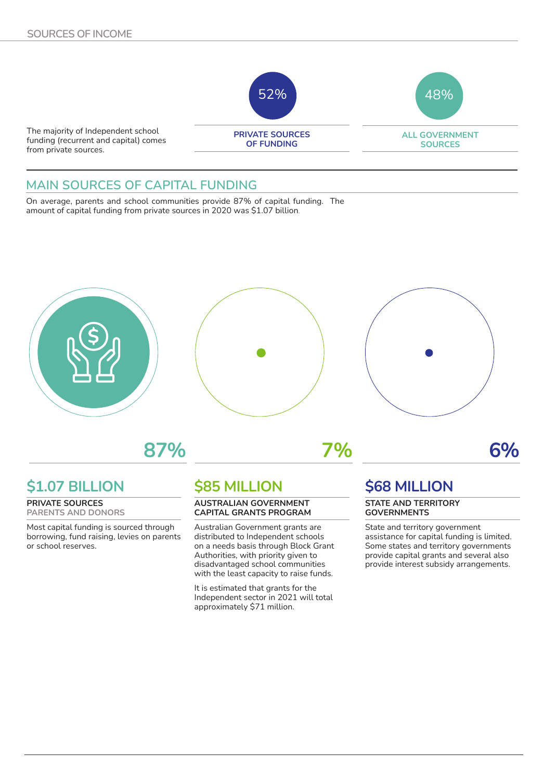

### **MAIN SOURCES OF CAPITAL FUNDING**

On average, parents and school communities provide 87% of capital funding. The amount of capital funding from private sources in 2020 was \$1.07 billion.



**87% 7% 6%**

# **\$1.07 BILLION**

**PRIVATE SOURCES PARENTS AND DONORS**

Most capital funding is sourced through borrowing, fund raising, levies on parents or school reserves.

# **\$85 MILLION**

#### **AUSTRALIAN GOVERNMENT CAPITAL GRANTS PROGRAM**

Australian Government grants are distributed to Independent schools on a needs basis through Block Grant Authorities, with priority given to disadvantaged school communities with the least capacity to raise funds.

It is estimated that grants for the Independent sector in 2021 will total approximately \$71 million.

## **\$68 MILLION**

#### **STATE AND TERRITORY GOVERNMENTS**

State and territory government assistance for capital funding is limited. Some states and territory governments provide capital grants and several also provide interest subsidy arrangements.